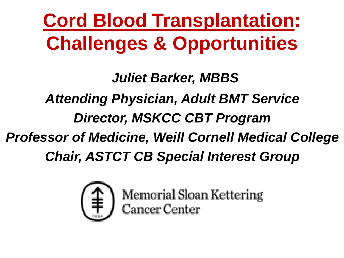**Cord Blood Transplantation: Challenges & Opportunities**

*Juliet Barker, MBBS Attending Physician, Adult BMT Service Director, MSKCC CBT Program Professor of Medicine, Weill Cornell Medical College Chair, ASTCT CB Special Interest Group*



Memorial Sloan Kettering<br>Cancer Center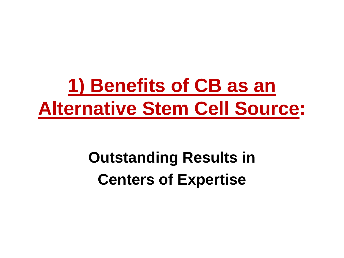# **1) Benefits of CB as an Alternative Stem Cell Source:**

# **Outstanding Results in Centers of Expertise**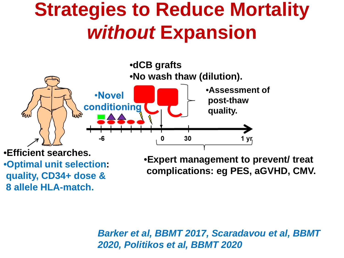# **Strategies to Reduce Mortality**  *without* **Expansion**



•**Optimal unit selection: quality, CD34+ dose & 8 allele HLA-match.**

•**Expert management to prevent/ treat complications: eg PES, aGVHD, CMV.**

*Barker et al, BBMT 2017, Scaradavou et al, BBMT 2020, Politikos et al, BBMT 2020*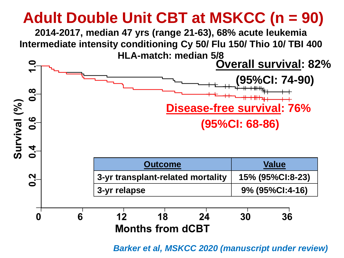## **Adult Double Unit CBT at MSKCC (n = 90)**

**2014-2017, median 47 yrs (range 21-63), 68% acute leukemia Intermediate intensity conditioning Cy 50/ Flu 150/ Thio 10/ TBI 400 HLA-match: median 5/8** 



*Barker et al, MSKCC 2020 (manuscript under review)*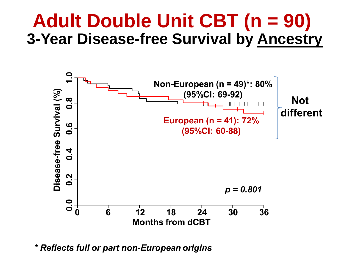# **Adult Double Unit CBT (n = 90) 3-Year Disease-free Survival by Ancestry**



\* Reflects full or part non-European origins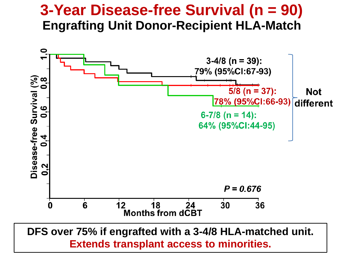#### **3-Year Disease-free Survival (n = 90) Engrafting Unit Donor-Recipient HLA-Match**

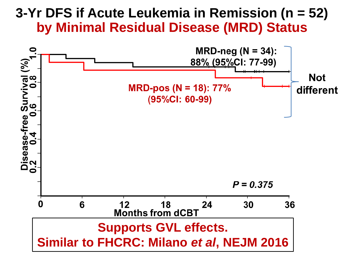#### **3-Yr DFS if Acute Leukemia in Remission (n = 52) by Minimal Residual Disease (MRD) Status**

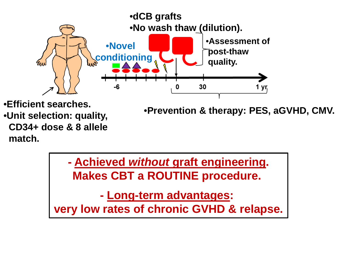

•**Efficient searches.**  •**Unit selection: quality, CD34+ dose & 8 allele match.**

•**Prevention & therapy: PES, aGVHD, CMV.**

**- Achieved** *without* **graft engineering. Makes CBT a ROUTINE procedure.** 

**- Long-term advantages: very low rates of chronic GVHD & relapse.**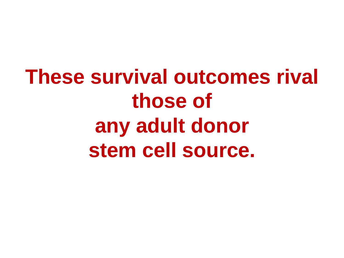**These survival outcomes rival those of any adult donor stem cell source.**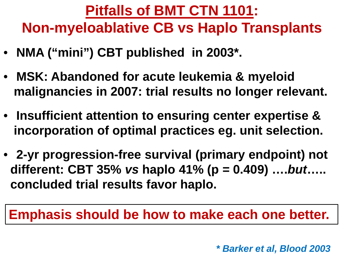#### **Pitfalls of BMT CTN 1101: Non-myeloablative CB vs Haplo Transplants**

- **NMA ("mini") CBT published in 2003\*.**
- **MSK: Abandoned for acute leukemia & myeloid malignancies in 2007: trial results no longer relevant.**
- **Insufficient attention to ensuring center expertise & incorporation of optimal practices eg. unit selection.**
- **2-yr progression-free survival (primary endpoint) not different: CBT 35%** *vs* **haplo 41% (p = 0.409) ….***but***….. concluded trial results favor haplo.**

#### **Emphasis should be how to make each one better.**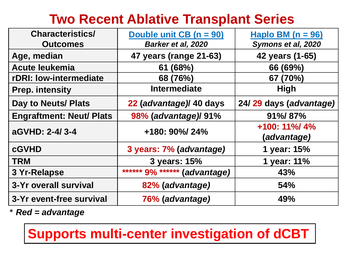#### **Two Recent Ablative Transplant Series**

| <b>Characteristics/</b>         | Double unit CB (n = 90)      | Haplo BM $(n = 96)$               |  |
|---------------------------------|------------------------------|-----------------------------------|--|
| <b>Outcomes</b>                 | Barker et al, 2020           | Symons et al, 2020                |  |
| Age, median                     | 47 years (range 21-63)       | 42 years (1-65)                   |  |
| <b>Acute leukemia</b>           | 61(68%)                      | 66 (69%)                          |  |
| rDRI: low-intermediate          | 68 (76%)                     | 67 (70%)                          |  |
| <b>Prep. intensity</b>          | <b>Intermediate</b>          | <b>High</b>                       |  |
| Day to Neuts/ Plats             | 22 (advantage)/ 40 days      | 24/29 days (advantage)            |  |
| <b>Engraftment: Neut/ Plats</b> | 98% (advantage) 91%          | 91%/87%                           |  |
| aGVHD: 2-4/3-4                  | +180: 90%/ 24%               | $+100: 11\% / 4\%$<br>(advantage) |  |
| <b>cGVHD</b>                    | 3 years: 7% (advantage)      | 1 year: 15%                       |  |
| <b>TRM</b>                      | 3 years: 15%                 | 1 year: 11%                       |  |
| 3 Yr-Relapse                    | ****** 9% ****** (advantage) | 43%                               |  |
| 3-Yr overall survival           | 82% (advantage)              | <b>54%</b>                        |  |
| 3-Yr event-free survival        | 76% (advantage)              | 49%                               |  |

\* *Red = advantage, marked in table*

**Supports multi-center investigation of dCBT**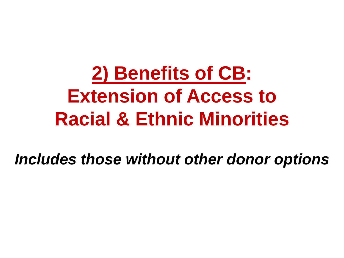# **2) Benefits of CB: Extension of Access to Racial & Ethnic Minorities**

*Includes those without other donor options*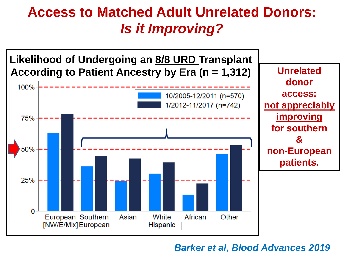#### **Access to Matched Adult Unrelated Donors:**  *Is it Improving?*



#### *Barker et al, Blood Advances 2019*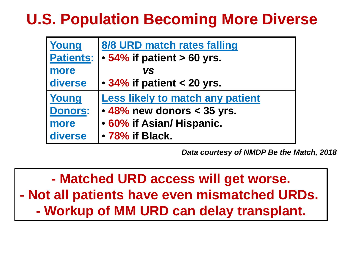### **U.S. Population Becoming More Diverse**

| Young            | 8/8 URD match rates falling             |  |  |  |
|------------------|-----------------------------------------|--|--|--|
| <b>Patients:</b> | $\cdot$ 54% if patient $> 60$ yrs.      |  |  |  |
| more             | <b>VS</b>                               |  |  |  |
| diverse          | $\cdot$ 34% if patient < 20 yrs.        |  |  |  |
| Young            | <b>Less likely to match any patient</b> |  |  |  |
| <b>Donors:</b>   | $\cdot$ 48% new donors < 35 yrs.        |  |  |  |
| more             | • 60% if Asian/ Hispanic.               |  |  |  |
| diverse          | • 78% if Black.                         |  |  |  |

*Data courtesy of NMDP Be the Match, 2018* 

**- Matched URD access will get worse. - Not all patients have even mismatched URDs. - Workup of MM URD can delay transplant.**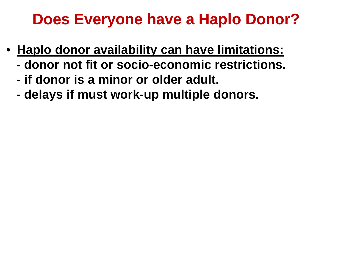### **Does Everyone have a Haplo Donor?**

- **Haplo donor availability can have limitations:**
	- **- donor not fit or socio-economic restrictions.**
	- **- if donor is a minor or older adult.**
	- **- delays if must work-up multiple donors.**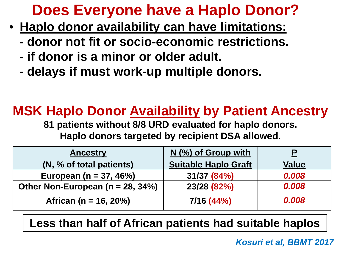### **Does Everyone have a Haplo Donor? 2**

- **Haplo donor availability can have limitations:**
	- **- donor not fit or socio-economic restrictions.**
	- **- if donor is a minor or older adult.**
	- **- delays if must work-up multiple donors.**

### **MSK Haplo Donor Availability by Patient Ancestry**

**81 patients without 8/8 URD evaluated for haplo donors. Haplo donors targeted by recipient DSA allowed.** 

| <b>Ancestry</b>                       | $N$ (%) of Group with       |              |
|---------------------------------------|-----------------------------|--------------|
| (N, % of total patients)              | <b>Suitable Haplo Graft</b> | <b>Value</b> |
| European ( $n = 37, 46\%$ )           | 31/37 (84%)                 | 0.008        |
| Other Non-European ( $n = 28, 34\%$ ) | 23/28 (82%)                 | 0.008        |
| African ( $n = 16, 20%$ )             | 7/16 (44%)                  | 0.008        |

**Less than half of African patients had suitable haplos**

*Kosuri et al, BBMT 2017*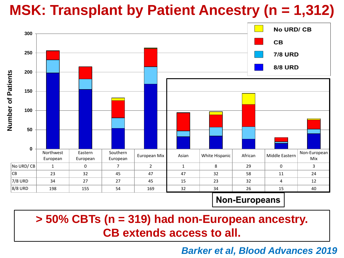### **MSK: Transplant by Patient Ancestry (n = 1,312)**



**> 50% CBTs (n = 319) had non-European ancestry. CB extends access to all.**

*Barker et al, Blood Advances 2019*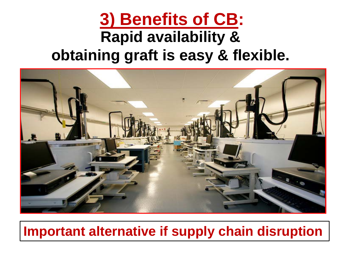# **3) Benefits of CB: Rapid availability & obtaining graft is easy & flexible.**



#### **Important alternative if supply chain disruption**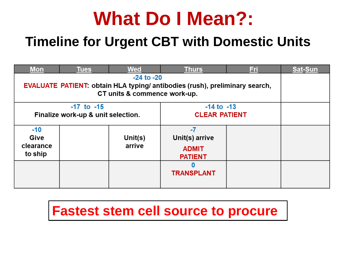# **What Do I Mean?:**

#### **Timeline for Urgent CBT with Domestic Units**

| <b>Mon</b>                                                                        | <b>Tues</b> | <b>Wed</b>           | <b>Thurs</b>      | <u>Fri,</u> | <b>Sat-Sun</b> |
|-----------------------------------------------------------------------------------|-------------|----------------------|-------------------|-------------|----------------|
| <b>EVALUATE PATIENT: obtain HLA typing/antibodies (rush), preliminary search,</b> |             |                      |                   |             |                |
|                                                                                   |             |                      |                   |             |                |
| $-17$ to $-15$                                                                    |             | $-14$ to $-13$       |                   |             |                |
| Finalize work-up & unit selection.                                                |             | <b>CLEAR PATIENT</b> |                   |             |                |
| $-10$                                                                             |             |                      | $-7$              |             |                |
| Give                                                                              |             | Unit( $s$ )          | Unit(s) arrive    |             |                |
| clearance                                                                         |             | arrive               | <b>ADMIT</b>      |             |                |
| to ship                                                                           |             | <b>PATIENT</b>       |                   |             |                |
|                                                                                   |             |                      | 0                 |             |                |
|                                                                                   |             |                      | <b>TRANSPLANT</b> |             |                |
|                                                                                   |             |                      |                   |             |                |

#### **Fastest stem cell source to procure**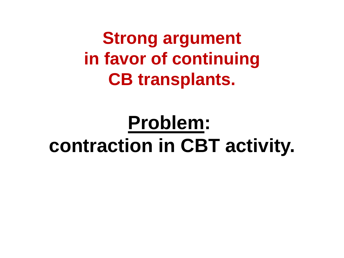**Strong argument in favor of continuing CB transplants.**

# **Problem: contraction in CBT activity.**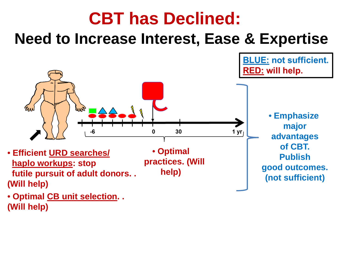### **CBT has Declined: Need to Increase Interest, Ease & Expertise**



• **Optimal CB unit selection. . (Will help)**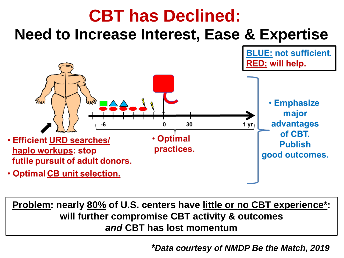

**Problem: nearly 80% of U.S. centers have little or no CBT experience\*: will further compromise CBT activity & outcomes** *and* **CBT has lost momentum**

*\*Data courtesy of NMDP Be the Match, 2019*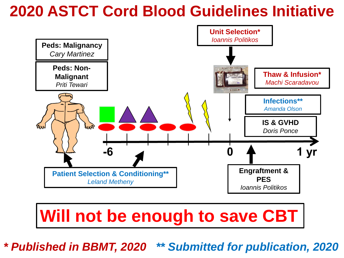### **2020 ASTCT Cord Blood Guidelines Initiative**



# **Will not be enough to save CBT**

*\* Published in BBMT, 2020 \*\* Submitted for publication, 2020*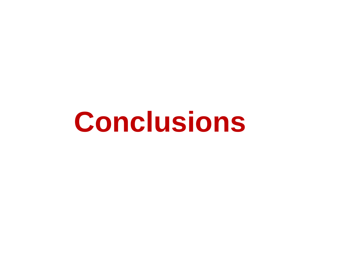**Conclusions**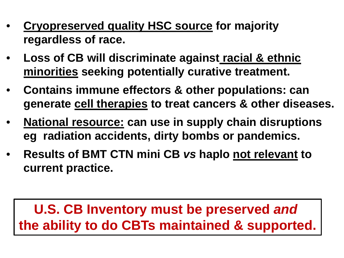- **Cryopreserved quality HSC source for majority regardless of race.**
- **Loss of CB will discriminate against racial & ethnic minorities seeking potentially curative treatment.**
- **Contains immune effectors & other populations: can generate cell therapies to treat cancers & other diseases.**
- **National resource: can use in supply chain disruptions eg radiation accidents, dirty bombs or pandemics.**
- **Results of BMT CTN mini CB** *vs* **haplo not relevant to current practice.**

#### **U.S. CB Inventory must be preserved** *and*  **the ability to do CBTs maintained & supported.**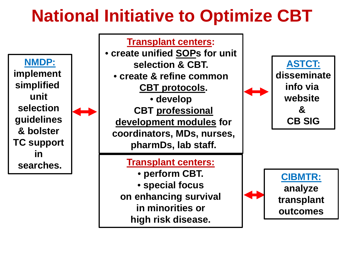# **National Initiative to Optimize CBT**